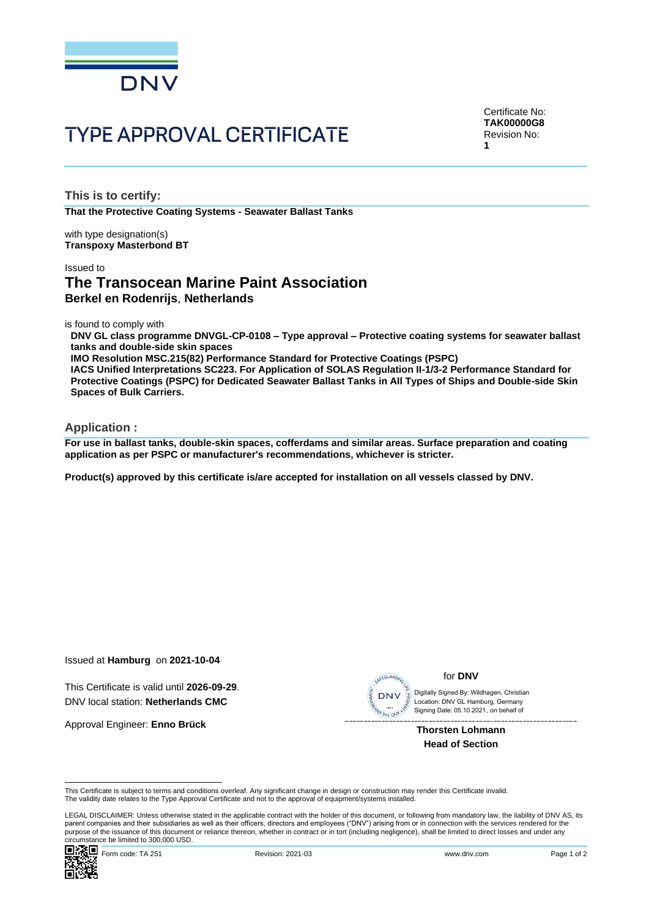

# **TYPE APPROVAL CERTIFICATE**

Certificate No: **TAK00000G8** Revision No: **1**

**This is to certify:**

**That the Protective Coating Systems - Seawater Ballast Tanks**

with type designation(s) **Transpoxy Masterbond BT**

#### Issued to

# **The Transocean Marine Paint Association Berkel en Rodenrijs**, **Netherlands**

is found to comply with

**DNV GL class programme DNVGL-CP-0108 – Type approval – Protective coating systems for seawater ballast tanks and double-side skin spaces**

**IMO Resolution MSC.215(82) Performance Standard for Protective Coatings (PSPC)**

**IACS Unified Interpretations SC223. For Application of SOLAS Regulation II-1/3-2 Performance Standard for Protective Coatings (PSPC) for Dedicated Seawater Ballast Tanks in All Types of Ships and Double-side Skin Spaces of Bulk Carriers.**

### **Application :**

**For use in ballast tanks, double-skin spaces, cofferdams and similar areas. Surface preparation and coating application as per PSPC or manufacturer's recommendations, whichever is stricter.**

**Product(s) approved by this certificate is/are accepted for installation on all vessels classed by DNV.**

Issued at **Hamburg** on **2021-10-04**

This Certificate is valid until **2026-09-29**. DNV local station: **Netherlands CMC**

Approval Engineer: **Enno Brück**



#### for **DNV**

 Signing Date: 05.10.2021 , on behalf ofDigitally Signed By: Wildhagen, Christian Location: DNV GL Hamburg, Germany

**Thorsten Lohmann Head of Section**

This Certificate is subject to terms and conditions overleaf. Any significant change in design or construction may render this Certificate invalid.<br>The validity date relates to the Type Approval Certificate and not to the

LEGAL DISCLAIMER: Unless otherwise stated in the applicable contract with the holder of this document, or following from mandatory law, the liability of DNV AS, its parent companies and their subsidiaries as well as their officers, directors and employees ("DNV") arising from or in connection with the services rendered for the purpose of the issuance of this document or reliance thereon, whether in contract or in tort (including negligence), shall be limited to direct losses and under any circumstance be limited to 300,000 USD.